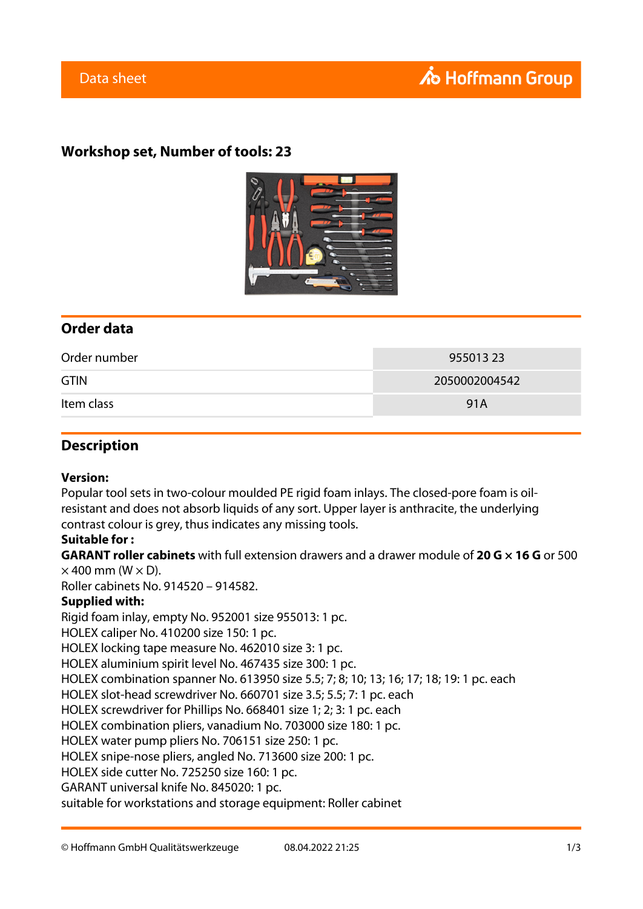## **Workshop set, Number of tools: 23**



## **Order data**

| Order number | 955013 23     |
|--------------|---------------|
| <b>GTIN</b>  | 2050002004542 |
| Item class   | 91A           |

### **Description**

#### **Version:**

Popular tool sets in two-colour moulded PE rigid foam inlays. The closed-pore foam is oilresistant and does not absorb liquids of any sort. Upper layer is anthracite, the underlying contrast colour is grey, thus indicates any missing tools.

#### **Suitable for :**

**GARANT roller cabinets** with full extension drawers and a drawer module of **20 G × 16 G** or 500  $\times$  400 mm (W  $\times$  D).

Roller cabinets No. 914520 – 914582.

#### **Supplied with:**

Rigid foam inlay, empty No. 952001 size 955013: 1 pc.

HOLEX caliper No. 410200 size 150: 1 pc.

HOLEX locking tape measure No. 462010 size 3: 1 pc.

HOLEX aluminium spirit level No. 467435 size 300: 1 pc.

HOLEX combination spanner No. 613950 size 5.5; 7; 8; 10; 13; 16; 17; 18; 19: 1 pc. each

HOLEX slot-head screwdriver No. 660701 size 3.5; 5.5; 7: 1 pc. each

HOLEX screwdriver for Phillips No. 668401 size 1; 2; 3: 1 pc. each

HOLEX combination pliers, vanadium No. 703000 size 180: 1 pc.

HOLEX water pump pliers No. 706151 size 250: 1 pc.

HOLEX snipe-nose pliers, angled No. 713600 size 200: 1 pc.

HOLEX side cutter No. 725250 size 160: 1 pc.

GARANT universal knife No. 845020: 1 pc.

suitable for workstations and storage equipment: Roller cabinet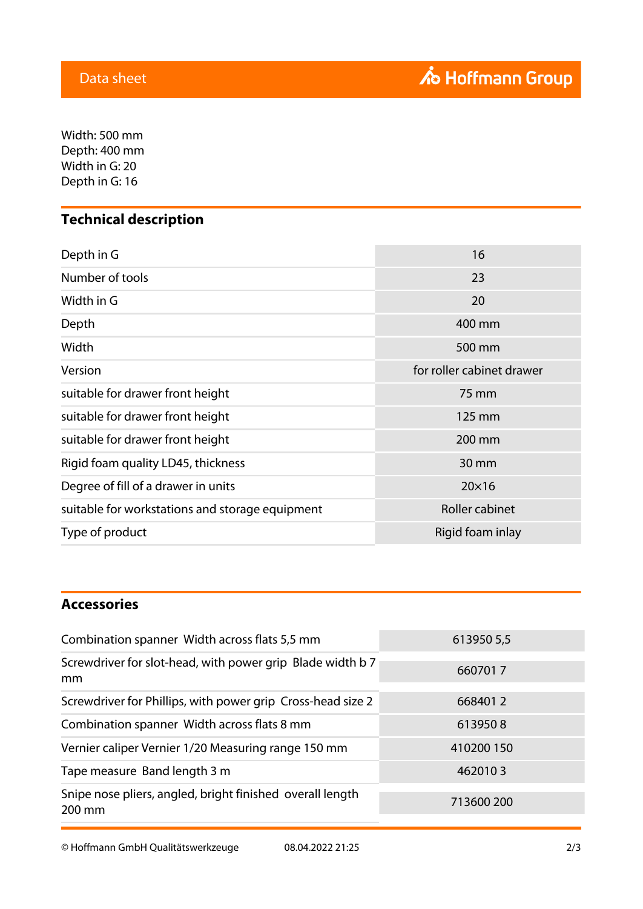$W$ idth: 500 mm Depth: 400 mm Width in G: 20 Depth in G: 16

# **Technical description**

| Depth in G                                      | 16                        |
|-------------------------------------------------|---------------------------|
| Number of tools                                 | 23                        |
| Width in G                                      | 20                        |
| Depth                                           | 400 mm                    |
| Width                                           | 500 mm                    |
| Version                                         | for roller cabinet drawer |
| suitable for drawer front height                | 75 mm                     |
| suitable for drawer front height                | 125 mm                    |
| suitable for drawer front height                | 200 mm                    |
| Rigid foam quality LD45, thickness              | 30 mm                     |
| Degree of fill of a drawer in units             | $20\times16$              |
| suitable for workstations and storage equipment | Roller cabinet            |
| Type of product                                 | Rigid foam inlay          |

## **Accessories**

| Combination spanner Width across flats 5,5 mm                       | 613950 5,5 |
|---------------------------------------------------------------------|------------|
| Screwdriver for slot-head, with power grip Blade width b 7<br>mm    | 6607017    |
| Screwdriver for Phillips, with power grip Cross-head size 2         | 6684012    |
| Combination spanner Width across flats 8 mm                         | 6139508    |
| Vernier caliper Vernier 1/20 Measuring range 150 mm                 | 410200 150 |
| Tape measure Band length 3 m                                        | 4620103    |
| Snipe nose pliers, angled, bright finished overall length<br>200 mm | 713600 200 |

© Hoffmann GmbH Qualitätswerkzeuge 08.04.2022 21:25 2/3